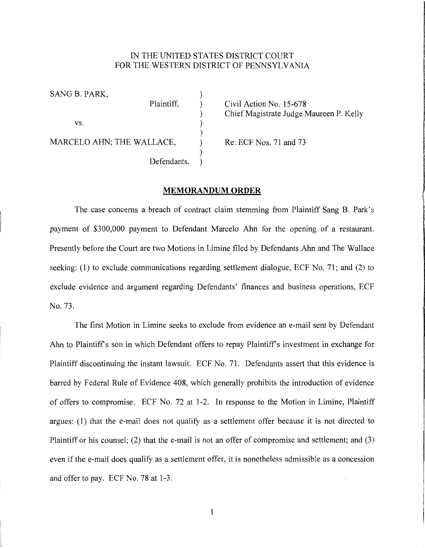## IN THE UNITED STATES DISTRICT COURT FOR THE WESTERN DISTRICT OF PENNSYLVANIA

SANG B. PARK,<br>Plaintiff,  $\mathbf{v}\mathbf{s}$ .  $\qquad \qquad$  ) ) MARCELO AHN; THE WALLACE, Re: ECF Nos. 71 and 73 ) Defendants.

Civil Action No. 15-678 ) Chief Magistrate Judge Maureen P. Kelly **reconstructions** 

## **MEMORANDUM ORDER**

The case concerns a breach of contract claim stemming from Plaintiff Sang B. Park's payment of \$300,000 payment to Defendant Marcelo Ahn for the opening of a restaurant. Presently before the Court are two Motions in Limine filed by Defendants Ahn and The Wallace seeking: (1) to exclude communications regarding settlement dialogue, ECF No. 71; and (2) to exclude evidence and argument regarding Defendants' finances and business operations, ECF No. 73.

The first Motion in Limine seeks to exclude from evidence an e-mail sent by Defendant Ahn to Plaintiff's son in which Defendant offers to repay Plaintiff's investment in exchange for Plaintiff discontinuing the instant lawsuit. ECF No. 71. Defendants assert that this evidence is barred by Federal Rule of Evidence 408, which generally prohibits the introduction of evidence of offers to compromise. ECF No. 72 at 1-2. In response to the Motion in Limine, Plaintiff argues: (1) that the e-mail does not qualify as a settlement offer because it is not directed to Plaintiff or his counsel; (2) that the e-mail is not an offer of compromise and settlement; and (3) even if the e-mail does qualify as a settlement offer, it is nonetheless admissible as a concession and offer to pay. ECF No. 78 at 1-3.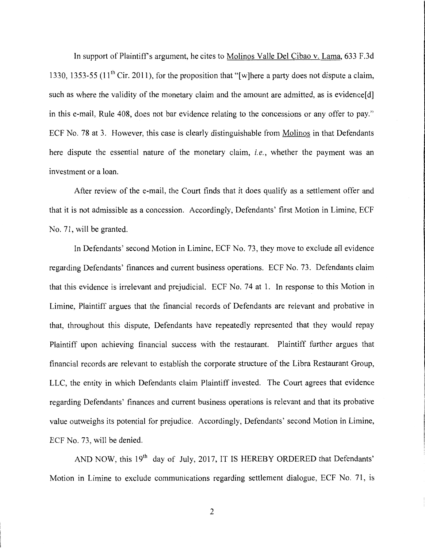In support of Plaintiff's argument, he cites to Molinos Valle Del Cibao v. Lama, 633 F.3d 1330, 1353-55 (11<sup>th</sup> Cir. 2011), for the proposition that "[w]here a party does not dispute a claim, such as where the validity of the monetary claim and the amount are admitted, as is evidence[d] in this e-mail, Rule 408, does not bar evidence relating to the concessions or any offer to pay." ECF No. 78 at 3. However, this case is clearly distinguishable from Molinos in that Defendants here dispute the essential nature of the monetary claim, *i.e.,* whether the payment was an investment or a loan.

After review of the e-mail, the Court finds that it does qualify as a settlement offer and that it is not admissible as a concession. Accordingly, Defendants' first Motion in Limine, ECF No. 71, will be granted.

In Defendants' second Motion in Limine, ECF No. 73, they move to exclude all evidence regarding Defendants' finances and current business operations. ECF No. 73. Defendants claim that this evidence is irrelevant and prejudicial. ECF No. 74 at 1. In response to this Motion in Limine, Plaintiff argues that the financial records of Defendants are relevant and probative in that, throughout this dispute, Defendants have repeatedly represented that they would repay Plaintiff upon achieving financial success with the restaurant. Plaintiff further argues that financial records are relevant to establish the corporate structure of the Libra Restaurant Group, LLC, the entity in which Defendants claim Plaintiff invested. The Court agrees that evidence regarding Defendants' finances and current business operations is relevant and that its probative value outweighs its potential for prejudice. Accordingly, Defendants' second Motion in Limine, ECF No. 73, will be denied.

AND NOW, this 19<sup>th</sup> day of July, 2017, IT IS HEREBY ORDERED that Defendants' Motion in Limine to exclude communications regarding settlement dialogue, ECF No. 71, is

2